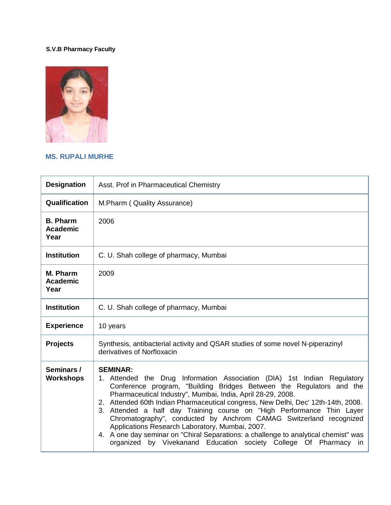## **S.V.B Pharmacy Faculty**



## **MS. RUPALI MURHE**

| <b>Designation</b>                         | Asst. Prof in Pharmaceutical Chemistry                                                                                                                                                                                                                                                                                                                                                                                                                                                                                                                                                                                                                                             |
|--------------------------------------------|------------------------------------------------------------------------------------------------------------------------------------------------------------------------------------------------------------------------------------------------------------------------------------------------------------------------------------------------------------------------------------------------------------------------------------------------------------------------------------------------------------------------------------------------------------------------------------------------------------------------------------------------------------------------------------|
| Qualification                              | M.Pharm (Quality Assurance)                                                                                                                                                                                                                                                                                                                                                                                                                                                                                                                                                                                                                                                        |
| <b>B. Pharm</b><br><b>Academic</b><br>Year | 2006                                                                                                                                                                                                                                                                                                                                                                                                                                                                                                                                                                                                                                                                               |
| <b>Institution</b>                         | C. U. Shah college of pharmacy, Mumbai                                                                                                                                                                                                                                                                                                                                                                                                                                                                                                                                                                                                                                             |
| M. Pharm<br><b>Academic</b><br>Year        | 2009                                                                                                                                                                                                                                                                                                                                                                                                                                                                                                                                                                                                                                                                               |
| <b>Institution</b>                         | C. U. Shah college of pharmacy, Mumbai                                                                                                                                                                                                                                                                                                                                                                                                                                                                                                                                                                                                                                             |
| <b>Experience</b>                          | 10 years                                                                                                                                                                                                                                                                                                                                                                                                                                                                                                                                                                                                                                                                           |
| <b>Projects</b>                            | Synthesis, antibacterial activity and QSAR studies of some novel N-piperazinyl<br>derivatives of Norfloxacin                                                                                                                                                                                                                                                                                                                                                                                                                                                                                                                                                                       |
| Seminars /<br><b>Workshops</b>             | <b>SEMINAR:</b><br>Attended the Drug Information Association (DIA) 1st Indian Regulatory<br>Conference program, "Building Bridges Between the Regulators and the<br>Pharmaceutical Industry", Mumbai, India, April 28-29, 2008.<br>2. Attended 60th Indian Pharmaceutical congress, New Delhi, Dec' 12th-14th, 2008.<br>3. Attended a half day Training course on "High Performance Thin Layer<br>Chromatography", conducted by Anchrom CAMAG Switzerland recognized<br>Applications Research Laboratory, Mumbai, 2007.<br>4. A one day seminar on "Chiral Separations: a challenge to analytical chemist" was<br>organized by Vivekanand Education society College Of Pharmacy in |